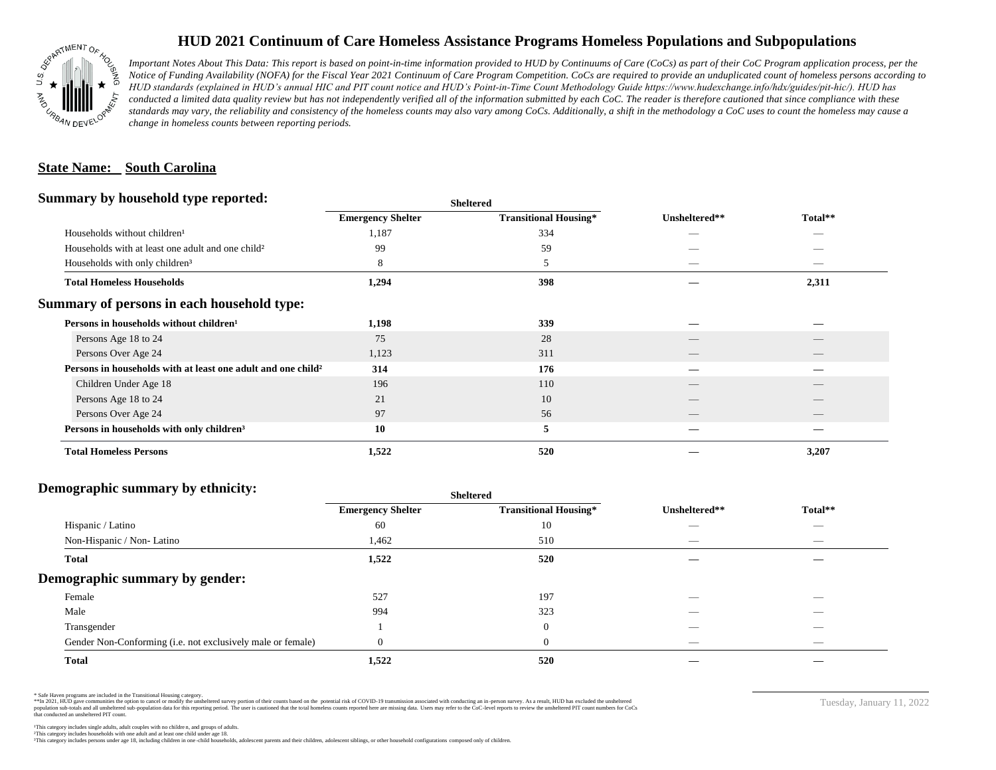

## **HUD 2021 Continuum of Care Homeless Assistance Programs Homeless Populations and Subpopulations**

*Important Notes About This Data: This report is based on point-in-time information provided to HUD by Continuums of Care (CoCs) as part of their CoC Program application process, per the Notice of Funding Availability (NOFA) for the Fiscal Year 2021 Continuum of Care Program Competition. CoCs are required to provide an unduplicated count of homeless persons according to HUD standards (explained in HUD's annual HIC and PIT count notice and HUD's Point-in-Time Count Methodology Guide https://www.hudexchange.info/hdx/guides/pit-hic/). HUD has*  conducted a limited data quality review but has not independently verified all of the information submitted by each CoC. The reader is therefore cautioned that since compliance with these standards may vary, the reliability and consistency of the homeless counts may also vary among CoCs. Additionally, a shift in the methodology a CoC uses to count the homeless may cause a *change in homeless counts between reporting periods.*

#### **State Name: South Carolina**

#### **Summary by household type reported:**

|                                                                          |                          | patter                       |               |         |  |
|--------------------------------------------------------------------------|--------------------------|------------------------------|---------------|---------|--|
|                                                                          | <b>Emergency Shelter</b> | <b>Transitional Housing*</b> | Unsheltered** | Total** |  |
| Households without children <sup>1</sup>                                 | 1,187                    | 334                          | _             |         |  |
| Households with at least one adult and one child <sup>2</sup>            | 99                       | 59                           |               |         |  |
| Households with only children <sup>3</sup>                               | 8                        | 5                            |               | _       |  |
| <b>Total Homeless Households</b>                                         | 1,294                    | 398                          |               | 2,311   |  |
| Summary of persons in each household type:                               |                          |                              |               |         |  |
| Persons in households without children <sup>1</sup>                      | 1,198                    | 339                          |               |         |  |
| Persons Age 18 to 24                                                     | 75                       | 28                           |               |         |  |
| Persons Over Age 24                                                      | 1,123                    | 311                          | __            |         |  |
| Persons in households with at least one adult and one child <sup>2</sup> | 314                      | 176                          |               |         |  |
| Children Under Age 18                                                    | 196                      | 110                          |               |         |  |
| Persons Age 18 to 24                                                     | 21                       | 10                           |               |         |  |
| Persons Over Age 24                                                      | 97                       | 56                           |               | __      |  |
| Persons in households with only children <sup>3</sup>                    | 10                       | 5                            |               |         |  |
| <b>Total Homeless Persons</b>                                            | 1,522                    | 520                          |               | 3,207   |  |
|                                                                          |                          |                              |               |         |  |

**Sheltered**

### **Demographic summary by ethnicity:**

| ັ<br>. .<br>$\bullet$<br>. .<br>$\ddot{\phantom{1}}$        | Sneitered                |                              |                                 |                                |
|-------------------------------------------------------------|--------------------------|------------------------------|---------------------------------|--------------------------------|
|                                                             | <b>Emergency Shelter</b> | <b>Transitional Housing*</b> | Unsheltered**                   | Total**                        |
| Hispanic / Latino                                           | 60                       | 10                           | _                               | $\overbrace{\hspace{25mm}}^{}$ |
| Non-Hispanic / Non-Latino                                   | 1,462                    | 510                          | $\hspace{0.05cm}$               | $\overbrace{\hspace{25mm}}^{}$ |
| <b>Total</b>                                                | 1,522                    | 520                          |                                 |                                |
| Demographic summary by gender:                              |                          |                              |                                 |                                |
| Female                                                      | 527                      | 197                          | ___                             | $\overline{\phantom{a}}$       |
| Male                                                        | 994                      | 323                          | ___                             | _                              |
| Transgender                                                 |                          | $\overline{0}$               | __                              | $\sim$                         |
| Gender Non-Conforming (i.e. not exclusively male or female) | $\Omega$                 | $\overline{0}$               | $\hspace{0.1mm}-\hspace{0.1mm}$ | $\overbrace{\hspace{25mm}}^{}$ |
| <b>Total</b>                                                | 1,522                    | 520                          |                                 |                                |

**Sheltered**

\* Safe Haven programs are included in the Transitional Housing category.

\*\*In 2021, HUD gave communities the option to cancel or modify the unsheltered survey portion of their counts based on the potential risk of COVID-19 transmission associated with conducting an in-person survey. As a result n political data for this reporting period. The user is cautioned that the total homeless counts reported here are missing data. Users may refer to the CoC-level reports to review the unshellered PIT count numbers for CoCs that conducted an unsheltered PIT count.

Tuesday, January 11, 2022

²This category includes households with one adult and at least one child under age 18. This category includes persons under age 18, including children in one -child households, adolescent parents and their children, adolescent siblings, or other household configurations composed only of children.